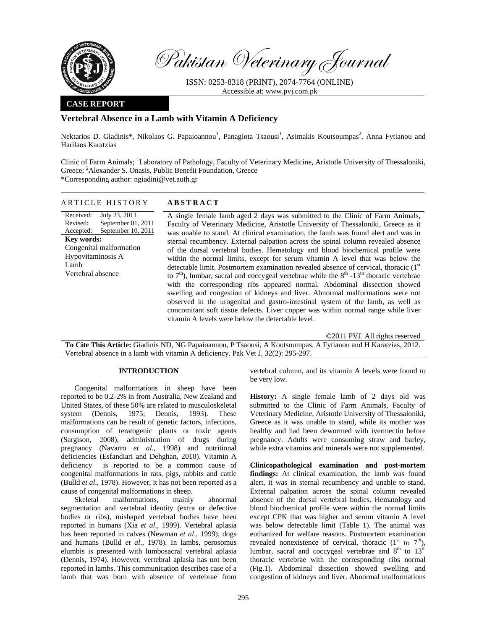

Pakistan Veterinary Journal

ISSN: 0253-8318 (PRINT), 2074-7764 (ONLINE) Accessible at: www.pvj.com.pk

## **CASE REPORT**

# **Vertebral Absence in a Lamb with Vitamin A Deficiency**

Nektarios D. Giadinis\*, Nikolaos G. Papaioannou<sup>1</sup>, Panagiota Tsaousi<sup>1</sup>, Asimakis Koutsoumpas<sup>2</sup>, Anna Fytianou and Harilaos Karatzias

Clinic of Farm Animals; <sup>1</sup>Laboratory of Pathology, Faculty of Veterinary Medicine, Aristotle University of Thessaloniki, Greece; <sup>2</sup>Alexander S. Onasis, Public Benefit Foundation, Greece \*Corresponding author: ngiadini@vet.auth.gr

#### ARTICLE HISTORY **ABSTRACT**

Received: Revised: Accepted: July 23, 2011 September 01, 2011 September 10, 2011 **Key words:**  Congenital malformation Hypovitaminosis A Lamb Vertebral absence

A single female lamb aged 2 days was submitted to the Clinic of Farm Animals, Faculty of Veterinary Medicine, Aristotle University of Thessaloniki, Greece as it was unable to stand. At clinical examination, the lamb was found alert and was in sternal recumbency. External palpation across the spinal column revealed absence of the dorsal vertebral bodies. Hematology and blood biochemical profile were within the normal limits, except for serum vitamin A level that was below the detectable limit. Postmortem examination revealed absence of cervical, thoracic (1<sup>st</sup> to  $7<sup>th</sup>$ ), lumbar, sacral and coccygeal vertebrae while the  $8<sup>th</sup>$  -13<sup>th</sup> thoracic vertebrae with the corresponding ribs appeared normal. Abdominal dissection showed swelling and congestion of kidneys and liver. Abnormal malformations were not observed in the urogenital and gastro-intestinal system of the lamb, as well as concomitant soft tissue defects. Liver copper was within normal range while liver vitamin A levels were below the detectable level.

©2011 PVJ. All rights reserved

**To Cite This Article:** Giadinis ND, NG Papaioannou, P Tsaousi, A Koutsoumpas, A Fytianou and H Karatzias, 2012. Vertebral absence in a lamb with vitamin A deficiency. Pak Vet J, 32(2): 295-297.

## **INTRODUCTION**

Congenital malformations in sheep have been reported to be 0.2-2% in from Australia, New Zealand and United States, of these 50% are related to musculoskeletal system (Dennis, 1975; Dennis, 1993). These malformations can be result of genetic factors, infections, consumption of teratogenic plants or toxic agents (Sargison, 2008), administration of drugs during pregnancy (Navarro *et al.*, 1998) and nutritional deficiencies (Esfandiari and Dehghan, 2010). Vitamin A deficiency is reported to be a common cause of congenital malformations in rats, pigs, rabbits and cattle (Bulld *et al*., 1978). However, it has not been reported as a cause of congenital malformations in sheep.

Skeletal malformations, mainly abnormal segmentation and vertebral identity (extra or defective bodies or ribs), mishaped vertebral bodies have been reported in humans (Xia *et al*., 1999). Vertebral aplasia has been reported in calves (Newman *et al*., 1999), dogs and humans (Bulld *et al*., 1978). In lambs, perosomus elumbis is presented with lumbosacral vertebral aplasia (Dennis, 1974). However, vertebral aplasia has not been reported in lambs. This communication describes case of a lamb that was born with absence of vertebrae from

vertebral column, and its vitamin A levels were found to be very low.

**History:** A single female lamb of 2 days old was submitted to the Clinic of Farm Animals, Faculty of Veterinary Medicine, Aristotle University of Thessaloniki, Greece as it was unable to stand, while its mother was healthy and had been dewormed with ivermectin before pregnancy. Adults were consuming straw and barley, while extra vitamins and minerals were not supplemented.

**Clinicopathological examination and post-mortem findings:** At clinical examination, the lamb was found alert, it was in sternal recumbency and unable to stand. External palpation across the spinal column revealed absence of the dorsal vertebral bodies. Hematology and blood biochemical profile were within the normal limits except CPK that was higher and serum vitamin A level was below detectable limit (Table 1). The animal was euthanized for welfare reasons. Postmortem examination revealed nonexistence of cervical, thoracic  $(1<sup>st</sup>$  to  $7<sup>th</sup>)$ , lumbar, sacral and coccygeal vertebrae and  $8<sup>th</sup>$  to  $13<sup>th</sup>$ thoracic vertebrae with the corresponding ribs normal (Fig.1). Abdominal dissection showed swelling and congestion of kidneys and liver. Abnormal malformations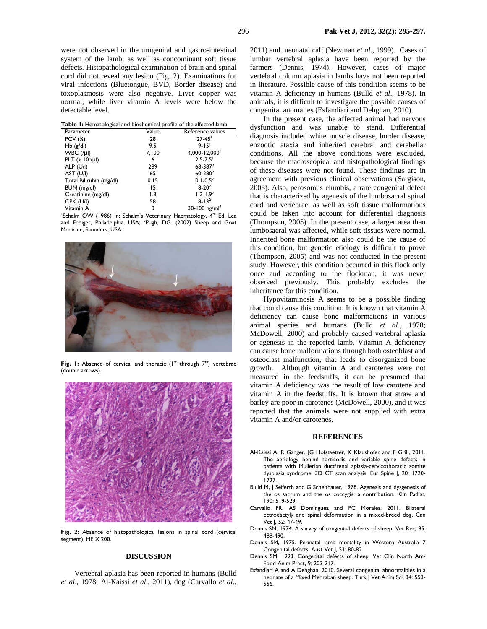were not observed in the urogenital and gastro-intestinal system of the lamb, as well as concominant soft tissue defects. Histopathological examination of brain and spinal cord did not reveal any lesion (Fig. 2). Examinations for viral infections (Bluetongue, BVD, Border disease) and toxoplasmosis were also negative. Liver copper was normal, while liver vitamin A levels were below the detectable level.

| <b>Table 1:</b> Hematological and biochemical profile of the affected lamb |  |
|----------------------------------------------------------------------------|--|
|----------------------------------------------------------------------------|--|

| Parameter               | Value | Reference values          |
|-------------------------|-------|---------------------------|
| <b>PCV (%)</b>          | 28    | $27 - 45$                 |
| $Hb$ ( $g/dl$ )         | 9.5   | $9 - 15$                  |
| $WBC ( \mu )$           | 7,100 | 4,000-12,000 <sup>1</sup> |
| PLT $(x 10^5/\mu l)$    | 6     | $2.5 - 7.5$               |
| ALP (U/I)               | 289   | $68 - 387^2$              |
| AST (U/I)               | 65    | $60 - 280^2$              |
| Total Bilirubin (mg/dl) | 0.15  | $0.1 - 0.52$              |
| BUN (mg/dl)             | 15    | $8 - 20^2$                |
| Creatinine (mg/dl)      | 1.3   | $1.2 - 1.92$              |
| CPK (U/I)               | 58    | $8 - 132$                 |
| Vitamin A               | 0     | 30-100 ng/m $l^2$         |

'Schalm OW (1986) In: Schalm's Veterinary Haematology, 4<sup>th</sup> Ed, Lea and Febiger, Philadelphia, USA; <sup>2</sup>Pugh, DG. (2002) Sheep and Goat Medicine, Saunders, USA.



Fig. I: Absence of cervical and thoracic (1<sup>st</sup> through 7<sup>th</sup>) vertebrae (double arrows).



Fig. 2: Absence of histopathological lesions in spinal cord (cervical segment). HE X 200.

#### **DISCUSSION**

Vertebral aplasia has been reported in humans (Bulld *et al*., 1978; Al-Kaissi *et al*., 2011), dog (Carvallo *et al*.,

296 **Pak Vet J, 2012, 32(2): 295-297.**

2011) and neonatal calf (Newman *et al*., 1999). Cases of lumbar vertebral aplasia have been reported by the farmers (Dennis, 1974). However, cases of major vertebral column aplasia in lambs have not been reported in literature. Possible cause of this condition seems to be vitamin A deficiency in humans (Bulld *et al*., 1978). In animals, it is difficult to investigate the possible causes of congenital anomalies (Esfandiari and Dehghan, 2010).

In the present case, the affected animal had nervous dysfunction and was unable to stand. Differential diagnosis included white muscle disease, border disease, enzootic ataxia and inherited cerebral and cerebellar conditions. All the above conditions were excluded, because the macroscopical and histopathological findings of these diseases were not found. These findings are in agreement with previous clinical observations (Sargison, 2008). Also, perosomus elumbis, a rare congenital defect that is characterized by agenesis of the lumbosacral spinal cord and vertebrae, as well as soft tissue malformations could be taken into account for differential diagnosis (Thompson, 2005). In the present case, a larger area than lumbosacral was affected, while soft tissues were normal. Inherited bone malformation also could be the cause of this condition, but genetic etiology is difficult to prove (Thompson, 2005) and was not conducted in the present study. However, this condition occurred in this flock only once and according to the flockman, it was never observed previously. This probably excludes the inheritance for this condition.

Hypovitaminosis A seems to be a possible finding that could cause this condition. It is known that vitamin A deficiency can cause bone malformations in various animal species and humans (Bulld *et al*., 1978; McDowell, 2000) and probably caused vertebral aplasia or agenesis in the reported lamb. Vitamin A deficiency can cause bone malformations through both osteoblast and osteoclast malfunction, that leads to disorganized bone growth. Although vitamin A and carotenes were not measured in the feedstuffs, it can be presumed that vitamin A deficiency was the result of low carotene and vitamin A in the feedstuffs. It is known that straw and barley are poor in carotenes (McDowell, 2000), and it was reported that the animals were not supplied with extra vitamin A and/or carotenes.

### **REFERENCES**

- Al-Kaissi A, R Ganger, JG Hofstaetter, K Klaushofer and F Grill, 2011. The aetiology behind torticollis and variable spine defects in patients with Mullerian duct/renal aplasia-cervicothoracic somite dysplasia syndrome: 3D CT scan analysis. Eur Spine J, 20: 1720-1727.
- Bulld M, J Seiferth and G Scheithauer, 1978. Agenesis and dysgenesis of the os sacrum and the os coccygis: a contribution. Klin Padiat, 190: 519-529.
- Carvallo FR, AS Dominguez and PC Morales, 2011. Bilateral ectrodactyly and spinal deformation in a mixed-breed dog. Can Vet J, 52: 47-49.
- Dennis SM, 1974. A survey of congenital defects of sheep. Vet Rec, 95: 488-490.
- Dennis SM, 1975. Perinatal lamb mortality in Western Australia 7 Congenital defects. Aust Vet J, 51: 80-82.
- Dennis SM, 1993. Congenital defects of sheep. Vet Clin North Am-Food Anim Pract, 9: 203-217.
- Esfandiari A and A Dehghan, 2010. Several congenital abnormalities in a neonate of a Mixed Mehraban sheep. Turk J Vet Anim Sci, 34: 553- 556.